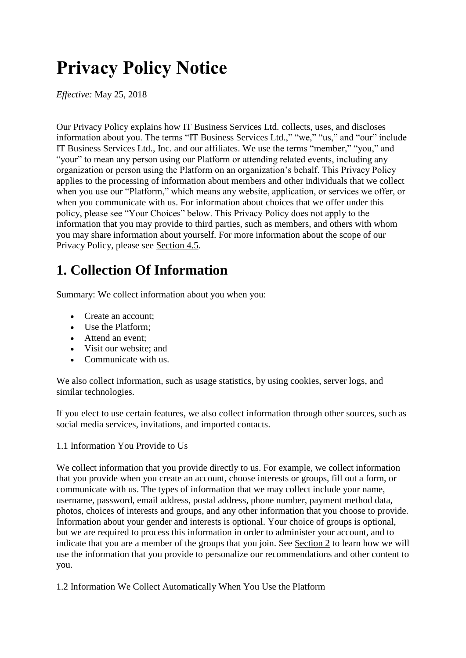# **Privacy Policy Notice**

*Effective:* May 25, 2018

Our Privacy Policy explains how IT Business Services Ltd. collects, uses, and discloses information about you. The terms "IT Business Services Ltd.," "we," "us," and "our" include IT Business Services Ltd., Inc. and our affiliates. We use the terms "member," "you," and "your" to mean any person using our Platform or attending related events, including any organization or person using the Platform on an organization's behalf. This Privacy Policy applies to the processing of information about members and other individuals that we collect when you use our "Platform," which means any website, application, or services we offer, or when you communicate with us. For information about choices that we offer under this policy, please see "Your Choices" below. This Privacy Policy does not apply to the information that you may provide to third parties, such as members, and others with whom you may share information about yourself. For more information about the scope of our Privacy Policy, please see Section 4.5.

# **1. Collection Of Information**

Summary: We collect information about you when you:

- Create an account:
- Use the Platform;
- Attend an event:
- Visit our website; and
- Communicate with us.

We also collect information, such as usage statistics, by using cookies, server logs, and similar technologies.

If you elect to use certain features, we also collect information through other sources, such as social media services, invitations, and imported contacts.

#### 1.1 Information You Provide to Us

We collect information that you provide directly to us. For example, we collect information that you provide when you create an account, choose interests or groups, fill out a form, or communicate with us. The types of information that we may collect include your name, username, password, email address, postal address, phone number, payment method data, photos, choices of interests and groups, and any other information that you choose to provide. Information about your gender and interests is optional. Your choice of groups is optional, but we are required to process this information in order to administer your account, and to indicate that you are a member of the groups that you join. See Section 2 to learn how we will use the information that you provide to personalize our recommendations and other content to you.

1.2 Information We Collect Automatically When You Use the Platform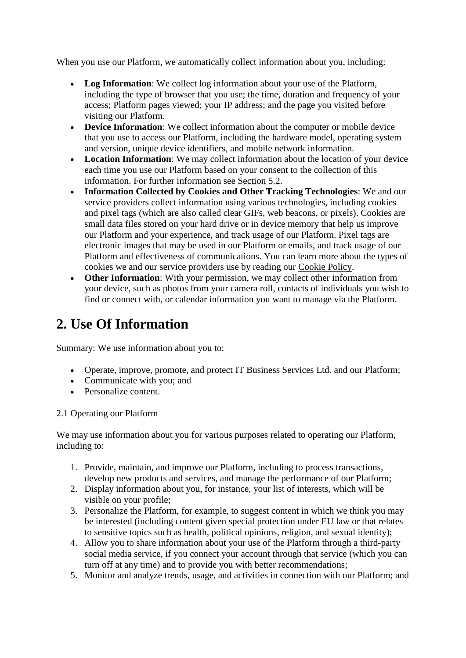When you use our Platform, we automatically collect information about you, including:

- **Log Information**: We collect log information about your use of the Platform, including the type of browser that you use; the time, duration and frequency of your access; Platform pages viewed; your IP address; and the page you visited before visiting our Platform.
- **Device Information**: We collect information about the computer or mobile device that you use to access our Platform, including the hardware model, operating system and version, unique device identifiers, and mobile network information.
- **Location Information**: We may collect information about the location of your device each time you use our Platform based on your consent to the collection of this information. For further information see Section 5.2.
- **Information Collected by Cookies and Other Tracking Technologies**: We and our service providers collect information using various technologies, including cookies and pixel tags (which are also called clear GIFs, web beacons, or pixels). Cookies are small data files stored on your hard drive or in device memory that help us improve our Platform and your experience, and track usage of our Platform. Pixel tags are electronic images that may be used in our Platform or emails, and track usage of our Platform and effectiveness of communications. You can learn more about the types of cookies we and our service providers use by reading our Cookie Policy.
- **Other Information**: With your permission, we may collect other information from your device, such as photos from your camera roll, contacts of individuals you wish to find or connect with, or calendar information you want to manage via the Platform.

### **2. Use Of Information**

Summary: We use information about you to:

- Operate, improve, promote, and protect IT Business Services Ltd. and our Platform;
- Communicate with you; and
- Personalize content.

#### 2.1 Operating our Platform

We may use information about you for various purposes related to operating our Platform, including to:

- 1. Provide, maintain, and improve our Platform, including to process transactions, develop new products and services, and manage the performance of our Platform;
- 2. Display information about you, for instance, your list of interests, which will be visible on your profile;
- 3. Personalize the Platform, for example, to suggest content in which we think you may be interested (including content given special protection under EU law or that relates to sensitive topics such as health, political opinions, religion, and sexual identity);
- 4. Allow you to share information about your use of the Platform through a third-party social media service, if you connect your account through that service (which you can turn off at any time) and to provide you with better recommendations;
- 5. Monitor and analyze trends, usage, and activities in connection with our Platform; and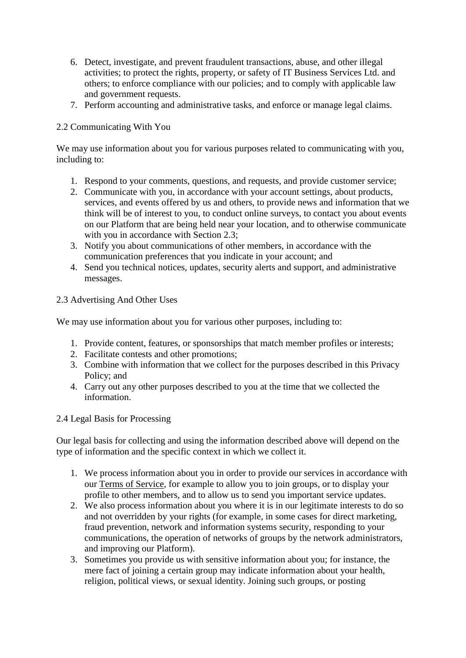- 6. Detect, investigate, and prevent fraudulent transactions, abuse, and other illegal activities; to protect the rights, property, or safety of IT Business Services Ltd. and others; to enforce compliance with our policies; and to comply with applicable law and government requests.
- 7. Perform accounting and administrative tasks, and enforce or manage legal claims.

### 2.2 Communicating With You

We may use information about you for various purposes related to communicating with you, including to:

- 1. Respond to your comments, questions, and requests, and provide customer service;
- 2. Communicate with you, in accordance with your account settings, about products, services, and events offered by us and others, to provide news and information that we think will be of interest to you, to conduct online surveys, to contact you about events on our Platform that are being held near your location, and to otherwise communicate with you in accordance with Section 2.3;
- 3. Notify you about communications of other members, in accordance with the communication preferences that you indicate in your account; and
- 4. Send you technical notices, updates, security alerts and support, and administrative messages.

#### 2.3 Advertising And Other Uses

We may use information about you for various other purposes, including to:

- 1. Provide content, features, or sponsorships that match member profiles or interests;
- 2. Facilitate contests and other promotions;
- 3. Combine with information that we collect for the purposes described in this Privacy Policy; and
- 4. Carry out any other purposes described to you at the time that we collected the information.

#### 2.4 Legal Basis for Processing

Our legal basis for collecting and using the information described above will depend on the type of information and the specific context in which we collect it.

- 1. We process information about you in order to provide our services in accordance with our Terms of Service, for example to allow you to join groups, or to display your profile to other members, and to allow us to send you important service updates.
- 2. We also process information about you where it is in our legitimate interests to do so and not overridden by your rights (for example, in some cases for direct marketing, fraud prevention, network and information systems security, responding to your communications, the operation of networks of groups by the network administrators, and improving our Platform).
- 3. Sometimes you provide us with sensitive information about you; for instance, the mere fact of joining a certain group may indicate information about your health, religion, political views, or sexual identity. Joining such groups, or posting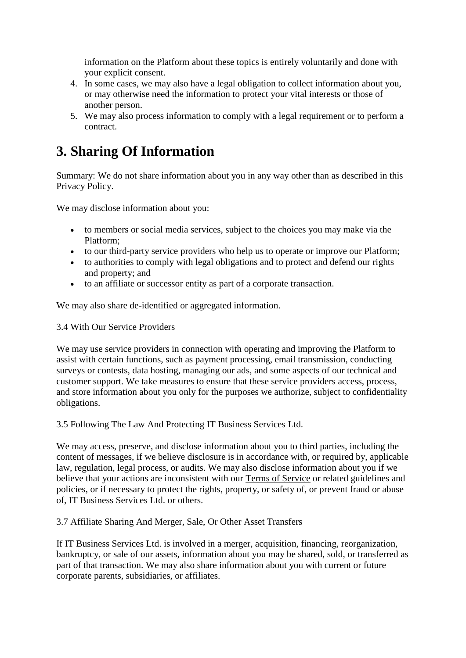information on the Platform about these topics is entirely voluntarily and done with your explicit consent.

- 4. In some cases, we may also have a legal obligation to collect information about you, or may otherwise need the information to protect your vital interests or those of another person.
- 5. We may also process information to comply with a legal requirement or to perform a contract.

### **3. Sharing Of Information**

Summary: We do not share information about you in any way other than as described in this Privacy Policy.

We may disclose information about you:

- to members or social media services, subject to the choices you may make via the Platform;
- to our third-party service providers who help us to operate or improve our Platform;
- to authorities to comply with legal obligations and to protect and defend our rights and property; and
- to an affiliate or successor entity as part of a corporate transaction.

We may also share de-identified or aggregated information.

3.4 With Our Service Providers

We may use service providers in connection with operating and improving the Platform to assist with certain functions, such as payment processing, email transmission, conducting surveys or contests, data hosting, managing our ads, and some aspects of our technical and customer support. We take measures to ensure that these service providers access, process, and store information about you only for the purposes we authorize, subject to confidentiality obligations.

3.5 Following The Law And Protecting IT Business Services Ltd.

We may access, preserve, and disclose information about you to third parties, including the content of messages, if we believe disclosure is in accordance with, or required by, applicable law, regulation, legal process, or audits. We may also disclose information about you if we believe that your actions are inconsistent with our Terms of Service or related guidelines and policies, or if necessary to protect the rights, property, or safety of, or prevent fraud or abuse of, IT Business Services Ltd. or others.

3.7 Affiliate Sharing And Merger, Sale, Or Other Asset Transfers

If IT Business Services Ltd. is involved in a merger, acquisition, financing, reorganization, bankruptcy, or sale of our assets, information about you may be shared, sold, or transferred as part of that transaction. We may also share information about you with current or future corporate parents, subsidiaries, or affiliates.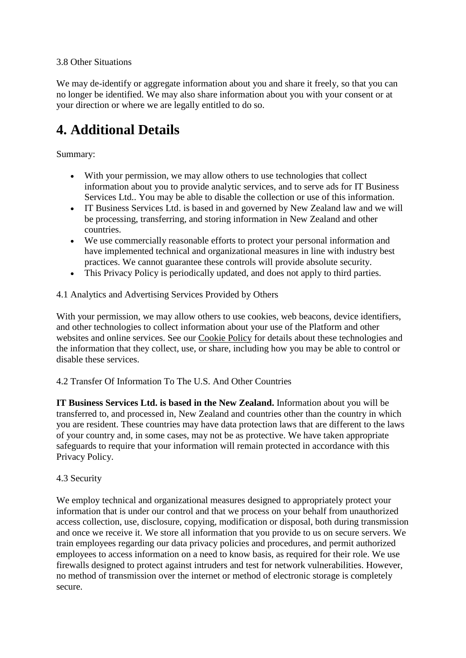#### 3.8 Other Situations

We may de-identify or aggregate information about you and share it freely, so that you can no longer be identified. We may also share information about you with your consent or at your direction or where we are legally entitled to do so.

# **4. Additional Details**

### Summary:

- With your permission, we may allow others to use technologies that collect information about you to provide analytic services, and to serve ads for IT Business Services Ltd.. You may be able to disable the collection or use of this information.
- IT Business Services Ltd. is based in and governed by New Zealand law and we will be processing, transferring, and storing information in New Zealand and other countries.
- We use commercially reasonable efforts to protect your personal information and have implemented technical and organizational measures in line with industry best practices. We cannot guarantee these controls will provide absolute security.
- This Privacy Policy is periodically updated, and does not apply to third parties.

### 4.1 Analytics and Advertising Services Provided by Others

With your permission, we may allow others to use cookies, web beacons, device identifiers, and other technologies to collect information about your use of the Platform and other websites and online services. See our Cookie Policy for details about these technologies and the information that they collect, use, or share, including how you may be able to control or disable these services.

### 4.2 Transfer Of Information To The U.S. And Other Countries

**IT Business Services Ltd. is based in the New Zealand.** Information about you will be transferred to, and processed in, New Zealand and countries other than the country in which you are resident. These countries may have data protection laws that are different to the laws of your country and, in some cases, may not be as protective. We have taken appropriate safeguards to require that your information will remain protected in accordance with this Privacy Policy.

#### 4.3 Security

We employ technical and organizational measures designed to appropriately protect your information that is under our control and that we process on your behalf from unauthorized access collection, use, disclosure, copying, modification or disposal, both during transmission and once we receive it. We store all information that you provide to us on secure servers. We train employees regarding our data privacy policies and procedures, and permit authorized employees to access information on a need to know basis, as required for their role. We use firewalls designed to protect against intruders and test for network vulnerabilities. However, no method of transmission over the internet or method of electronic storage is completely secure.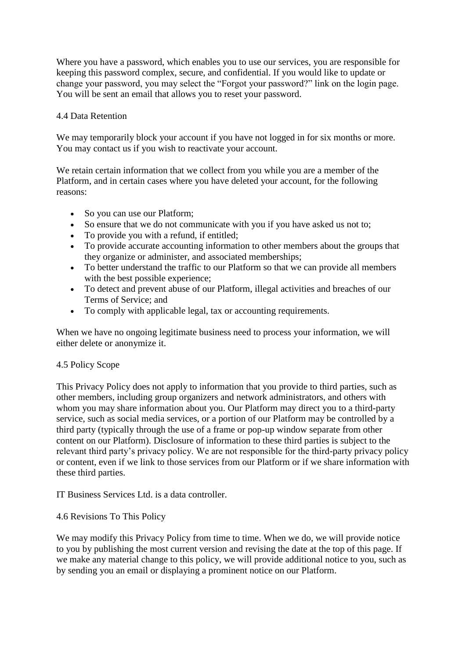Where you have a password, which enables you to use our services, you are responsible for keeping this password complex, secure, and confidential. If you would like to update or change your password, you may select the "Forgot your password?" link on the login page. You will be sent an email that allows you to reset your password.

#### 4.4 Data Retention

We may temporarily block your account if you have not logged in for six months or more. You may contact us if you wish to reactivate your account.

We retain certain information that we collect from you while you are a member of the Platform, and in certain cases where you have deleted your account, for the following reasons:

- So you can use our Platform;
- So ensure that we do not communicate with you if you have asked us not to;
- To provide you with a refund, if entitled;
- To provide accurate accounting information to other members about the groups that they organize or administer, and associated memberships;
- To better understand the traffic to our Platform so that we can provide all members with the best possible experience:
- To detect and prevent abuse of our Platform, illegal activities and breaches of our Terms of Service; and
- To comply with applicable legal, tax or accounting requirements.

When we have no ongoing legitimate business need to process your information, we will either delete or anonymize it.

#### 4.5 Policy Scope

This Privacy Policy does not apply to information that you provide to third parties, such as other members, including group organizers and network administrators, and others with whom you may share information about you. Our Platform may direct you to a third-party service, such as social media services, or a portion of our Platform may be controlled by a third party (typically through the use of a frame or pop-up window separate from other content on our Platform). Disclosure of information to these third parties is subject to the relevant third party's privacy policy. We are not responsible for the third-party privacy policy or content, even if we link to those services from our Platform or if we share information with these third parties.

IT Business Services Ltd. is a data controller.

#### 4.6 Revisions To This Policy

We may modify this Privacy Policy from time to time. When we do, we will provide notice to you by publishing the most current version and revising the date at the top of this page. If we make any material change to this policy, we will provide additional notice to you, such as by sending you an email or displaying a prominent notice on our Platform.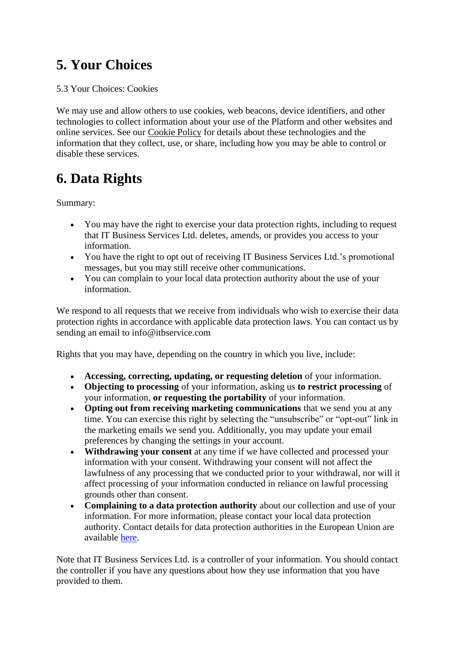# **5. Your Choices**

### 5.3 Your Choices: Cookies

We may use and allow others to use cookies, web beacons, device identifiers, and other technologies to collect information about your use of the Platform and other websites and online services. See our Cookie Policy for details about these technologies and the information that they collect, use, or share, including how you may be able to control or disable these services.

### **6. Data Rights**

Summary:

- You may have the right to exercise your data protection rights, including to request that IT Business Services Ltd. deletes, amends, or provides you access to your information.
- You have the right to opt out of receiving IT Business Services Ltd.'s promotional messages, but you may still receive other communications.
- You can complain to your local data protection authority about the use of your information.

We respond to all requests that we receive from individuals who wish to exercise their data protection rights in accordance with applicable data protection laws. You can contact us by sending an email to info@itbservice.com

Rights that you may have, depending on the country in which you live, include:

- **Accessing, correcting, updating, or requesting deletion** of your information.
- **Objecting to processing** of your information, asking us **to restrict processing** of your information, **or requesting the portability** of your information.
- **Opting out from receiving marketing communications** that we send you at any time. You can exercise this right by selecting the "unsubscribe" or "opt-out" link in the marketing emails we send you. Additionally, you may update your email preferences by changing the settings in your account.
- **Withdrawing your consent** at any time if we have collected and processed your information with your consent. Withdrawing your consent will not affect the lawfulness of any processing that we conducted prior to your withdrawal, nor will it affect processing of your information conducted in reliance on lawful processing grounds other than consent.
- **Complaining to a data protection authority** about our collection and use of your information. For more information, please contact your local data protection authority. Contact details for data protection authorities in the European Union are available [here.](http://ec.europa.eu/justice/data-protection/article-29/structure/data-protection-authorities/index_en.htm)

Note that IT Business Services Ltd. is a controller of your information. You should contact the controller if you have any questions about how they use information that you have provided to them.